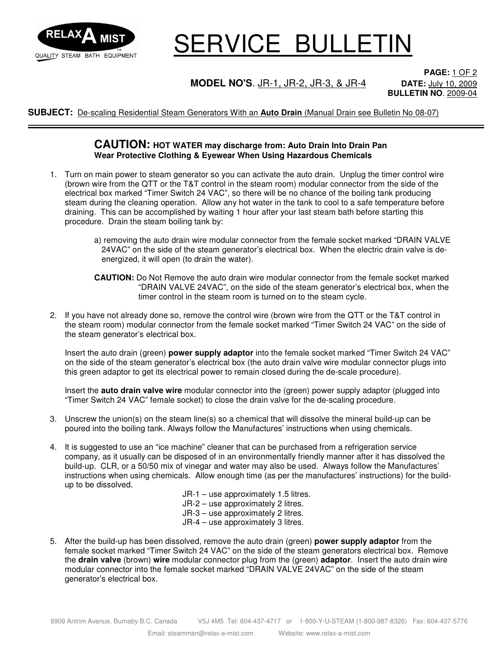

## SERVICE BULLETIN

### **MODEL NO'S**. JR-1, JR-2, JR-3, & JR-4 **DATE:** July 10, 2009

**PAGE:** 1 OF 2 **BULLETIN NO**. 2009-04

**SUBJECT:** De-scaling Residential Steam Generators With an **Auto Drain** (Manual Drain see Bulletin No 08-07)

#### **CAUTION: HOT WATER may discharge from: Auto Drain Into Drain Pan Wear Protective Clothing & Eyewear When Using Hazardous Chemicals**

- 1. Turn on main power to steam generator so you can activate the auto drain. Unplug the timer control wire (brown wire from the QTT or the T&T control in the steam room) modular connector from the side of the electrical box marked "Timer Switch 24 VAC", so there will be no chance of the boiling tank producing steam during the cleaning operation. Allow any hot water in the tank to cool to a safe temperature before draining. This can be accomplished by waiting 1 hour after your last steam bath before starting this procedure. Drain the steam boiling tank by:
	- a) removing the auto drain wire modular connector from the female socket marked "DRAIN VALVE 24VAC" on the side of the steam generator's electrical box. When the electric drain valve is deenergized, it will open (to drain the water).
	- **CAUTION:** Do Not Remove the auto drain wire modular connector from the female socket marked "DRAIN VALVE 24VAC", on the side of the steam generator's electrical box, when the timer control in the steam room is turned on to the steam cycle.
- 2. If you have not already done so, remove the control wire (brown wire from the QTT or the T&T control in the steam room) modular connector from the female socket marked "Timer Switch 24 VAC" on the side of the steam generator's electrical box.

 Insert the auto drain (green) **power supply adaptor** into the female socket marked "Timer Switch 24 VAC" on the side of the steam generator's electrical box (the auto drain valve wire modular connector plugs into this green adaptor to get its electrical power to remain closed during the de-scale procedure).

 Insert the **auto drain valve wire** modular connector into the (green) power supply adaptor (plugged into "Timer Switch 24 VAC" female socket) to close the drain valve for the de-scaling procedure.

- 3. Unscrew the union(s) on the steam line(s) so a chemical that will dissolve the mineral build-up can be poured into the boiling tank. Always follow the Manufactures' instructions when using chemicals.
- 4. It is suggested to use an "ice machine" cleaner that can be purchased from a refrigeration service company, as it usually can be disposed of in an environmentally friendly manner after it has dissolved the build-up. CLR, or a 50/50 mix of vinegar and water may also be used. Always follow the Manufactures' instructions when using chemicals. Allow enough time (as per the manufactures' instructions) for the buildup to be dissolved.

 JR-1 – use approximately 1.5 litres. JR-2 – use approximately 2 litres. JR-3 – use approximately 2 litres. JR-4 – use approximately 3 litres.

5. After the build-up has been dissolved, remove the auto drain (green) **power supply adaptor** from the female socket marked "Timer Switch 24 VAC" on the side of the steam generators electrical box. Remove the **drain valve** (brown) **wire** modular connector plug from the (green) **adaptor**. Insert the auto drain wire modular connector into the female socket marked "DRAIN VALVE 24VAC" on the side of the steam generator's electrical box.